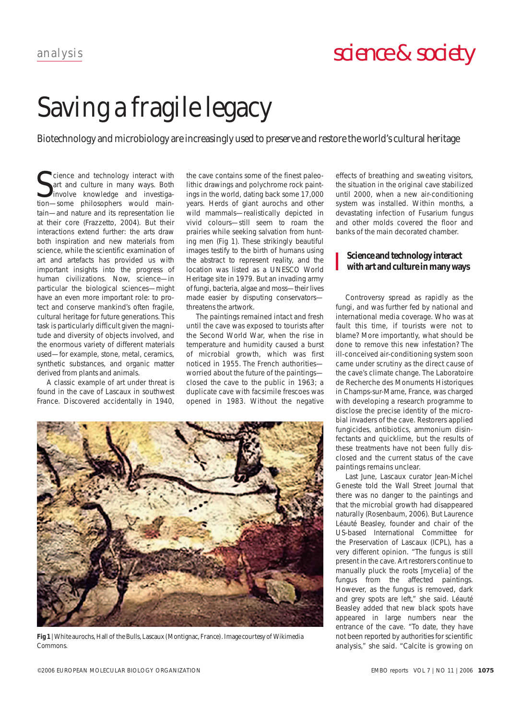# Saving a fragile legacy

Biotechnology and microbiology are increasingly used to preserve and restore the world's cultural heritage

Sience and technology interact with<br>
art and culture in many ways. Both<br>
involve knowledge and investiga-<br>
tion—some philosophers would maincience and technology interact with art and culture in many ways. Both involve knowledge and investigatain—and nature and its representation lie at their core (Frazzetto, 2004). But their interactions extend further: the arts draw both inspiration and new materials from science, while the scientific examination of art and artefacts has provided us with important insights into the progress of human civilizations. Now, science—in particular the biological sciences—might have an even more important role: to protect and conserve mankind's often fragile, cultural heritage for future generations. This task is particularly difficult given the magnitude and diversity of objects involved, and the enormous variety of different materials used—for example, stone, metal, ceramics, synthetic substances, and organic matter derived from plants and animals.

A classic example of art under threat is found in the cave of Lascaux in southwest France. Discovered accidentally in 1940, the cave contains some of the finest paleolithic drawings and polychrome rock paintings in the world, dating back some 17,000 years. Herds of giant aurochs and other wild mammals—realistically depicted in vivid colours—still seem to roam the prairies while seeking salvation from hunting men (Fig 1). These strikingly beautiful images testify to the birth of humans using the abstract to represent reality, and the location was listed as a UNESCO World Heritage site in 1979. But an invading army of fungi, bacteria, algae and moss—their lives made easier by disputing conservators threatens the artwork.

The paintings remained intact and fresh until the cave was exposed to tourists after the Second World War, when the rise in temperature and humidity caused a burst of microbial growth, which was first noticed in 1955. The French authorities worried about the future of the paintings closed the cave to the public in 1963; a duplicate cave with facsimile frescoes was opened in 1983. Without the negative



**Fig 1** | White aurochs, Hall of the Bulls, Lascaux (Montignac, France). Image courtesy of Wikimedia Commons.

effects of breathing and sweating visitors, the situation in the original cave stabilized until 2000, when a new air-conditioning system was installed. Within months, a devastating infection of *Fusarium* fungus and other molds covered the floor and banks of the main decorated chamber.

#### **Science and technology interact with art and culture in many ways**

Controversy spread as rapidly as the fungi, and was further fed by national and international media coverage. Who was at fault this time, if tourists were not to blame? More importantly, what should be done to remove this new infestation? The ill-conceived air-conditioning system soon came under scrutiny as the direct cause of the cave's climate change. The Laboratoire de Recherche des Monuments Historiques in Champs-sur-Marne, France, was charged with developing a research programme to disclose the precise identity of the microbial invaders of the cave. Restorers applied fungicides, antibiotics, ammonium disinfectants and quicklime, but the results of these treatments have not been fully disclosed and the current status of the cave paintings remains unclear.

Last June, Lascaux curator Jean-Michel Geneste told the *Wall Street Journal* that there was no danger to the paintings and that the microbial growth had disappeared naturally (Rosenbaum, 2006). But Laurence Léauté Beasley, founder and chair of the US-based International Committee for the Preservation of Lascaux (ICPL), has a very different opinion. "The fungus is still present in the cave. Art restorers continue to manually pluck the roots [mycelia] of the fungus from the affected paintings. However, as the fungus is removed, dark and grey spots are left," she said. Léauté Beasley added that new black spots have appeared in large numbers near the entrance of the cave. "To date, they have not been reported by authorities for scientific analysis," she said. "Calcite is growing on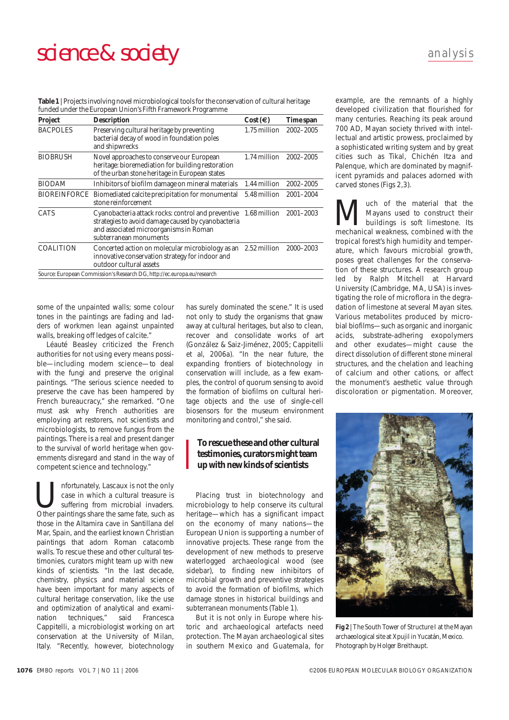## *science & society*

**Table 1** | Projects involving novel microbiological tools for the conservation of cultural heritage funded under the European Union's Fifth Framework Programme

| <b>Project</b>                                                          | <b>Description</b>                                                                                                                                                                        | $Cost(\epsilon)$ | Time span     |
|-------------------------------------------------------------------------|-------------------------------------------------------------------------------------------------------------------------------------------------------------------------------------------|------------------|---------------|
| <b>BACPOLES</b>                                                         | Preserving cultural heritage by preventing<br>bacterial decay of wood in foundation poles<br>and shipwrecks                                                                               | 1.75 million     | $2002 - 2005$ |
| <b>BIOBRUSH</b>                                                         | Novel approaches to conserve our European<br>heritage: bioremediation for building restoration<br>of the urban stone heritage in European states                                          | 1.74 million     | $2002 - 2005$ |
| <b>BIODAM</b>                                                           | Inhibitors of biofilm damage on mineral materials                                                                                                                                         | 1.44 million     | $2002 - 2005$ |
|                                                                         | BIOREINFORCE Biomediated calcite precipitation for monumental<br>stone reinforcement                                                                                                      | 5.48 million     | $2001 - 2004$ |
| <b>CATS</b>                                                             | Cyanobacteria attack rocks: control and preventive 1.68 million<br>strategies to avoid damage caused by cyanobacteria<br>and associated microorganisms in Roman<br>subterranean monuments |                  | $2001 - 2003$ |
| COALITION                                                               | Concerted action on molecular microbiology as an<br>innovative conservation strategy for indoor and<br>outdoor cultural assets                                                            | 2.52 million     | $2000 - 2003$ |
| Source: European Commission's Research DG, http://ec.europa.eu/research |                                                                                                                                                                                           |                  |               |

some of the unpainted walls; some colour tones in the paintings are fading and ladders of workmen lean against unpainted walls, breaking off ledges of calcite."

Léauté Beasley criticized the French authorities for not using every means possible—including modern science—to deal with the fungi and preserve the original paintings. "The serious science needed to preserve the cave has been hampered by French bureaucracy," she remarked. "One must ask why French authorities are employing art restorers, not scientists and microbiologists, to remove fungus from the paintings. There is a real and present danger to the survival of world heritage when governments disregard and stand in the way of competent science and technology."

Infortunately, Lascaux is not the only case in which a cultural treasure is suffering from microbial invaders.<br>Other paintings share the same fate, such as case in which a cultural treasure is suffering from microbial invaders. those in the Altamira cave in Santillana del Mar, Spain, and the earliest known Christian paintings that adorn Roman catacomb walls. To rescue these and other cultural testimonies, curators might team up with new kinds of scientists. "In the last decade, chemistry, physics and material science have been important for many aspects of cultural heritage conservation, like the use and optimization of analytical and examination techniques," said Francesca Cappitelli, a microbiologist working on art conservation at the University of Milan, Italy. "Recently, however, biotechnology has surely dominated the scene." It is used not only to study the organisms that gnaw away at cultural heritages, but also to clean, recover and consolidate works of art (González & Saiz-Jiménez, 2005; Cappitelli *et al*, 2006a). "In the near future, the expanding frontiers of biotechnology in conservation will include, as a few examples, the control of quorum sensing to avoid the formation of biofilms on cultural heritage objects and the use of single-cell biosensors for the museum environment monitoring and control," she said.

### **To rescue these and other cultural testimonies, curators might team up with new kinds of scientists**

Placing trust in biotechnology and microbiology to help conserve its cultural heritage—which has a significant impact on the economy of many nations—the European Union is supporting a number of innovative projects. These range from the development of new methods to preserve waterlogged archaeological wood (see sidebar), to finding new inhibitors of microbial growth and preventive strategies to avoid the formation of biofilms, which damage stones in historical buildings and subterranean monuments (Table 1).

But it is not only in Europe where historic and archaeological artefacts need protection. The Mayan archaeological sites in southern Mexico and Guatemala, for example, are the remnants of a highly developed civilization that flourished for many centuries. Reaching its peak around 700 AD, Mayan society thrived with intellectual and artistic prowess, proclaimed by a sophisticated writing system and by great cities such as Tikal, Chichén Itza and Palenque, which are dominated by magnificent pyramids and palaces adorned with carved stones (Figs 2,3).

**Much** of the material that the Mayans used to construct their<br>buildings is soft limestone. Its<br>mechanical weakness, combined with the Mayans used to construct their buildings is soft limestone. Its tropical forest's high humidity and temperature, which favours microbial growth, poses great challenges for the conservation of these structures. A research group led by Ralph Mitchell at Harvard University (Cambridge, MA, USA) is investigating the role of microflora in the degradation of limestone at several Mayan sites. Various metabolites produced by microbial biofilms—such as organic and inorganic acids, substrate-adhering exopolymers and other exudates—might cause the direct dissolution of different stone mineral structures, and the chelation and leaching of calcium and other cations, or affect the monument's aesthetic value through discoloration or pigmentation. Moreover,



**Fig 2** | The South Tower of Structure I at the Mayan archaeological site at Xpujil in Yucatán, Mexico. Photograph by Holger Breithaupt.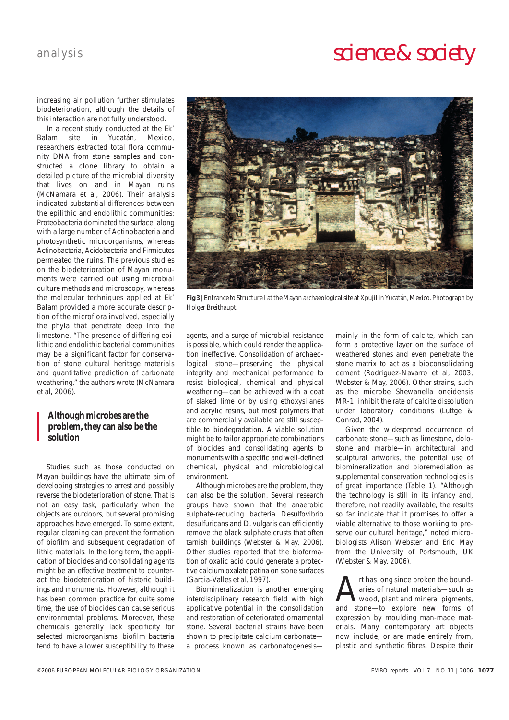### analysis

# *science & society*

increasing air pollution further stimulates biodeterioration, although the details of this interaction are not fully understood.

In a recent study conducted at the Ek'<br>Iam site in Yucatán, Mexico, Balam site researchers extracted total flora community DNA from stone samples and constructed a clone library to obtain a detailed picture of the microbial diversity that lives on and in Mayan ruins (McNamara *et al*, 2006). Their analysis indicated substantial differences between the epilithic and endolithic communities: Proteobacteria dominated the surface, along with a large number of Actinobacteria and photosynthetic microorganisms, whereas Actinobacteria, Acidobacteria and Firmicutes permeated the ruins. The previous studies on the biodeterioration of Mayan monuments were carried out using microbial culture methods and microscopy, whereas the molecular techniques applied at Ek' Balam provided a more accurate description of the microflora involved, especially the phyla that penetrate deep into the limestone. "The presence of differing epilithic and endolithic bacterial communities may be a significant factor for conservation of stone cultural heritage materials and quantitative prediction of carbonate weathering," the authors wrote (McNamara *et al*, 2006).

### **Although microbes are the problem, they can also be the solution**

Studies such as those conducted on Mayan buildings have the ultimate aim of developing strategies to arrest and possibly reverse the biodeterioration of stone. That is not an easy task, particularly when the objects are outdoors, but several promising approaches have emerged. To some extent, regular cleaning can prevent the formation of biofilm and subsequent degradation of lithic materials. In the long term, the application of biocides and consolidating agents might be an effective treatment to counteract the biodeterioration of historic buildings and monuments. However, although it has been common practice for quite some time, the use of biocides can cause serious environmental problems. Moreover, these chemicals generally lack specificity for selected microorganisms; biofilm bacteria tend to have a lower susceptibility to these



**Fig 3** | Entrance to Structure I at the Mayan archaeological site at Xpujil in Yucatán, Mexico. Photograph by Holger Breithaupt.

agents, and a surge of microbial resistance is possible, which could render the application ineffective. Consolidation of archaeological stone—preserving the physical integrity and mechanical performance to resist biological, chemical and physical weathering—can be achieved with a coat of slaked lime or by using ethoxysilanes and acrylic resins, but most polymers that are commercially available are still susceptible to biodegradation. A viable solution might be to tailor appropriate combinations of biocides and consolidating agents to monuments with a specific and well-defined chemical, physical and microbiological environment.

Although microbes are the problem, they can also be the solution. Several research groups have shown that the anaerobic sulphate-reducing bacteria *Desulfovibrio desulfuricans* and *D. vulgaris* can efficiently remove the black sulphate crusts that often tarnish buildings (Webster & May, 2006). Other studies reported that the bioformation of oxalic acid could generate a protective calcium oxalate patina on stone surfaces (Garcia-Valles *et al*, 1997).

Biomineralization is another emerging interdisciplinary research field with high applicative potential in the consolidation and restoration of deteriorated ornamental stone. Several bacterial strains have been shown to precipitate calcium carbonate a process known as carbonatogenesismainly in the form of calcite, which can form a protective layer on the surface of weathered stones and even penetrate the stone matrix to act as a bioconsolidating cement (Rodriguez-Navarro *et al*, 2003; Webster & May, 2006). Other strains, such as the microbe *Shewanella oneidensis* MR-1, inhibit the rate of calcite dissolution under laboratory conditions (Lüttge & Conrad, 2004).

Given the widespread occurrence of carbonate stone—such as limestone, dolostone and marble—in architectural and sculptural artworks, the potential use of biomineralization and bioremediation as supplemental conservation technologies is of great importance (Table 1). "Although the technology is still in its infancy and, therefore, not readily available, the results so far indicate that it promises to offer a viable alternative to those working to preserve our cultural heritage," noted microbiologists Alison Webster and Eric May from the University of Portsmouth, UK (Webster & May, 2006).

Thas long since broken the bound-<br>aries of natural materials—such as<br>wood, plant and mineral pigments,<br>and stone—to explore new forms of aries of natural materials—such as wood, plant and mineral pigments, and stone—to explore new forms of expression by moulding man-made materials. Many contemporary art objects now include, or are made entirely from, plastic and synthetic fibres. Despite their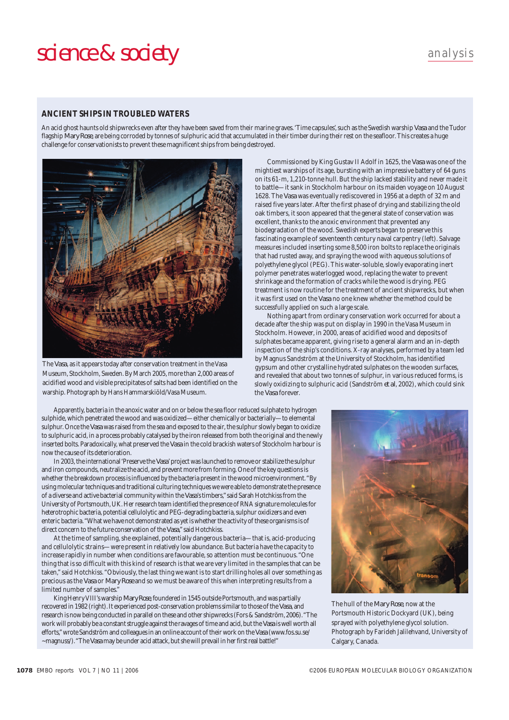### *science & society*

#### **ANCIENT SHIPS IN TROUBLED WATERS**

An acid ghost haunts old shipwrecks even after they have been saved from their marine graves.'Time capsules', such as the Swedish warship *Vasa* and the Tudor flagship *Mary Rose*, are being corroded by tonnes of sulphuric acid that accumulated in their timber during their rest on the seafloor. This creates a huge challenge for conservationists to prevent these magnificent ships from being destroyed.



The *Vasa*, as it appears today after conservation treatment in the Vasa Museum, Stockholm, Sweden. By March 2005, more than 2,000 areas of acidified wood and visible precipitates of salts had been identified on the warship. Photograph by Hans Hammarskiöld/Vasa Museum.

Commissioned by King Gustav II Adolf in 1625, the *Vasa* was one of the mightiest warships of its age, bursting with an impressive battery of 64 guns on its 61-m, 1,210-tonne hull. But the ship lacked stability and never made it to battle—it sank in Stockholm harbour on its maiden voyage on 10 August 1628. The *Vasa* was eventually rediscovered in 1956 at a depth of 32 m and raised five years later. After the first phase of drying and stabilizing the old oak timbers, it soon appeared that the general state of conservation was excellent, thanks to the anoxic environment that prevented any biodegradation of the wood. Swedish experts began to preserve this fascinating example of seventeenth century naval carpentry (left). Salvage measures included inserting some 8,500 iron bolts to replace the originals that had rusted away, and spraying the wood with aqueous solutions of polyethylene glycol (PEG). This water-soluble, slowly evaporating inert polymer penetrates waterlogged wood, replacing the water to prevent shrinkage and the formation of cracks while the wood is drying. PEG treatment is now routine for the treatment of ancient shipwrecks, but when it was first used on the *Vasa* no one knew whether the method could be successfully applied on such a large scale.

Nothing apart from ordinary conservation work occurred for about a decade after the ship was put on display in 1990 in the Vasa Museum in Stockholm. However, in 2000, areas of acidified wood and deposits of sulphates became apparent, giving rise to a general alarm and an in-depth inspection of the ship's conditions. X-ray analyses, performed by a team led by Magnus Sandström at the University of Stockholm, has identified gypsum and other crystalline hydrated sulphates on the wooden surfaces, and revealed that about two tonnes of sulphur, in various reduced forms, is slowly oxidizing to sulphuric acid (Sandström *et al*, 2002), which could sink the *Vasa* forever.

Apparently, bacteria in the anoxic water and on or below the sea floor reduced sulphate to hydrogen sulphide, which penetrated the wood and was oxidized—either chemically or bacterially—to elemental sulphur. Once the *Vasa* was raised from the sea and exposed to the air, the sulphur slowly began to oxidize to sulphuric acid, in a process probably catalysed by the iron released from both the original and the newly inserted bolts. Paradoxically, what preserved the *Vasa* in the cold brackish waters of Stockholm harbour is now the cause of its deterioration.

In 2003, the international 'Preserve the *Vasa*' project was launched to remove or stabilize the sulphur and iron compounds, neutralize the acid, and prevent more from forming. One of the key questions is whether the breakdown process is influenced by the bacteria present in the wood microenvironment."By using molecular techniques and traditional culturing techniques we were able to demonstrate the presence of a diverse and active bacterial community within the *Vasa*'s timbers,"said Sarah Hotchkiss from the University of Portsmouth, UK. Her research team identified the presence of RNA signature molecules for heterotrophic bacteria, potential cellulolytic and PEG-degrading bacteria, sulphur oxidizers and even enteric bacteria."What we have not demonstrated as yet is whether the activity of these organisms is of direct concern to the future conservation of the *Vasa*,"said Hotchkiss.

At the time of sampling, she explained, potentially dangerous bacteria—that is, acid-producing and cellulolytic strains—were present in relatively low abundance. But bacteria have the capacity to increase rapidly in number when conditions are favourable, so attention must be continuous."One thing that is so difficult with this kind of research is that we are very limited in the samples that can be taken," said Hotchkiss."Obviously, the last thing we want is to start drilling holes all over something as precious as the *Vasa* or *Mary Rose* and so we must be aware of this when interpreting results from a limited number of samples.

King Henry VIII's warship *Mary Rose*, foundered in 1545 outside Portsmouth, and was partially recovered in 1982 (right). It experienced post-conservation problems similar to those of the *Vasa*, and research is now being conducted in parallel on these and other shipwrecks (Fors & Sandström, 2006)."The work will probably be a constant struggle against the ravages of time and acid, but the *Vasa* is well worth all efforts,"wrote Sandström and colleagues in an online account of their work on the *Vasa* (www.fos.su.se/ ~magnuss/)."The *Vasa* may be under acid attack, but she will prevail in her first real battle!"



The hull of the *Mary Rose*, now at the Portsmouth Historic Dockyard (UK), being sprayed with polyethylene glycol solution. Photograph by Farideh Jalilehvand, University of Calgary, Canada.